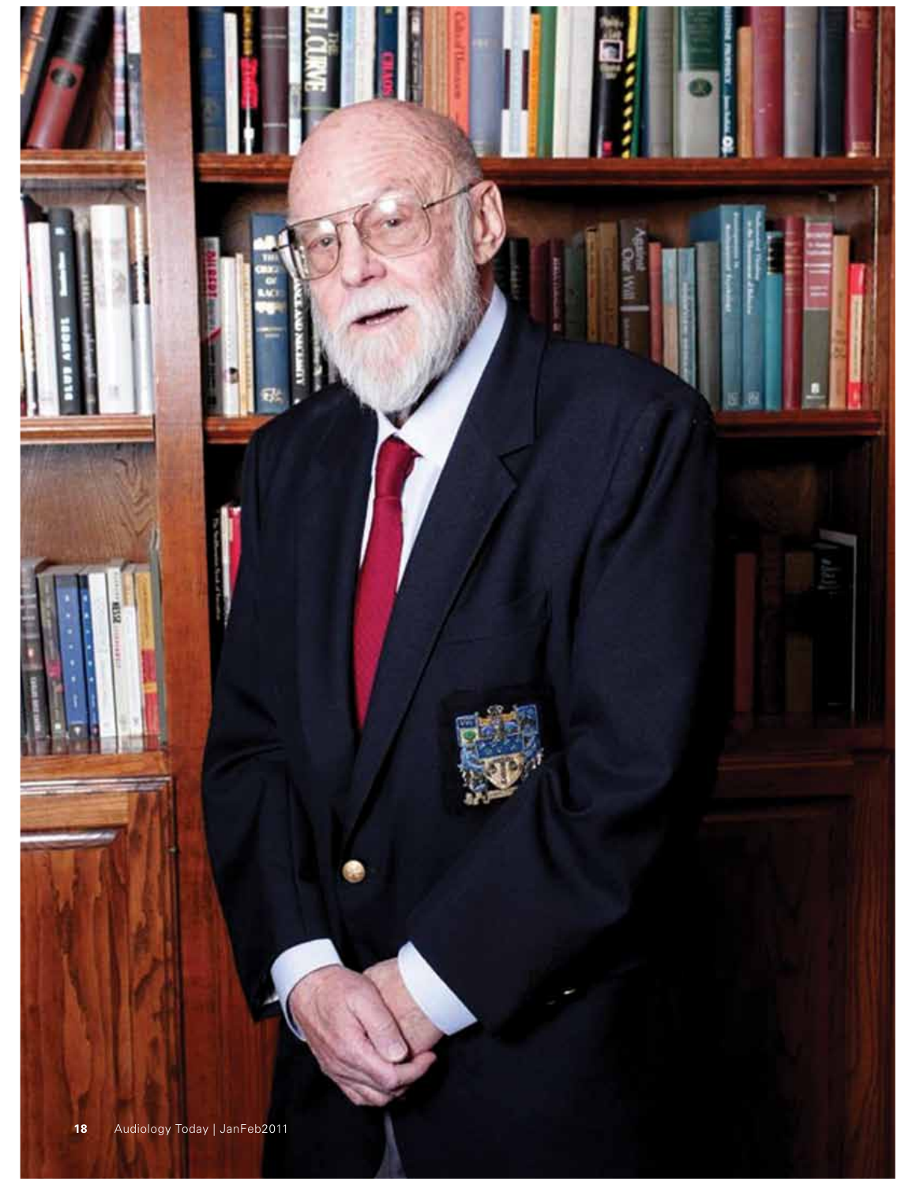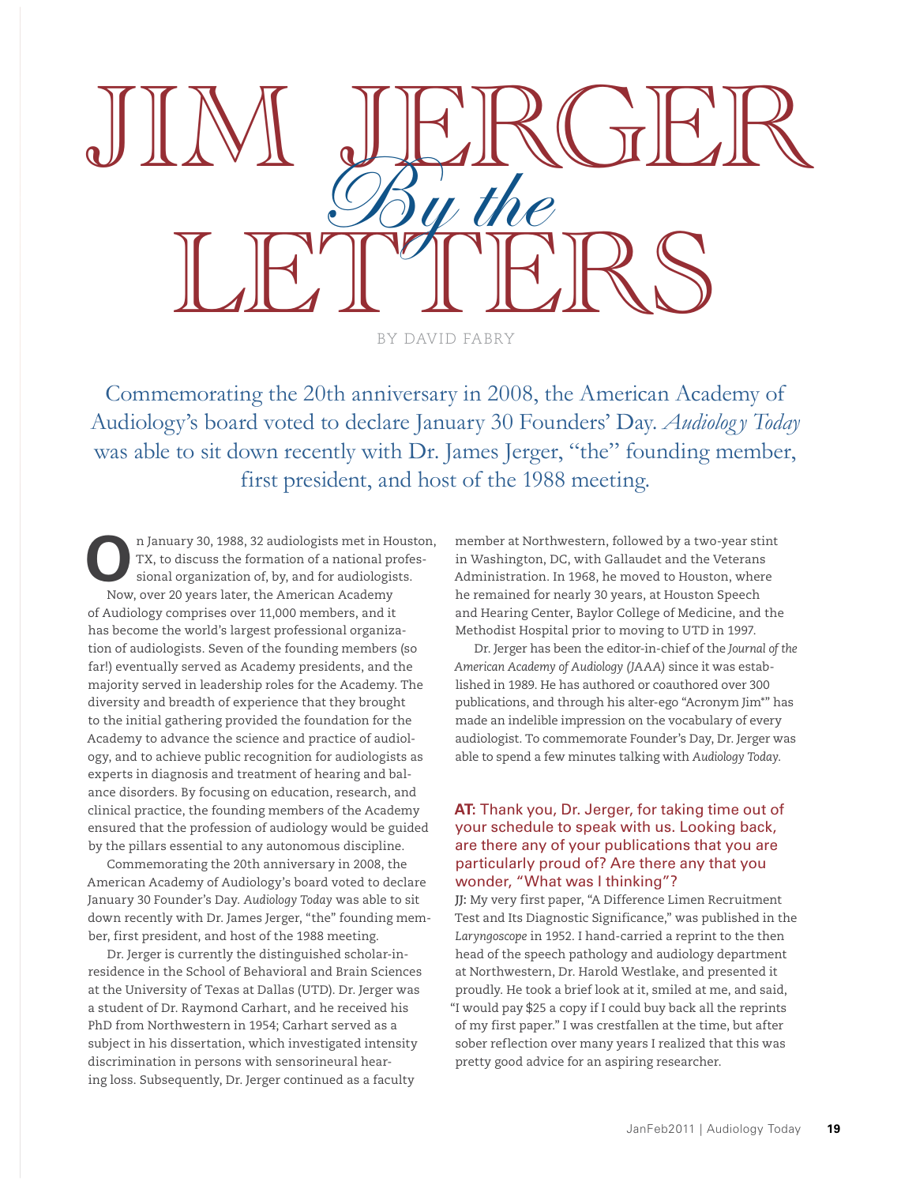

BY DAVID FABRY

Commemorating the 20th anniversary in 2008, the American Academy of Audiology's board voted to declare January 30 Founders' Day. *Audiolog y Today* was able to sit down recently with Dr. James Jerger, "the" founding member, first president, and host of the 1988 meeting.

**O**n January 30, 1988, 32 audiologists met in Houston,<br>
TX, to discuss the formation of a national profes-<br>
sional organization of, by, and for audiologists. TX, to discuss the formation of a national professional organization of, by, and for audiologists. Now, over 20 years later, the American Academy of Audiology comprises over 11,000 members, and it has become the world's largest professional organization of audiologists. Seven of the founding members (so far!) eventually served as Academy presidents, and the majority served in leadership roles for the Academy. The diversity and breadth of experience that they brought to the initial gathering provided the foundation for the Academy to advance the science and practice of audiology, and to achieve public recognition for audiologists as experts in diagnosis and treatment of hearing and balance disorders. By focusing on education, research, and clinical practice, the founding members of the Academy ensured that the profession of audiology would be guided by the pillars essential to any autonomous discipline.

Commemorating the 20th anniversary in 2008, the American Academy of Audiology's board voted to declare January 30 Founder's Day. *Audiology Today* was able to sit down recently with Dr. James Jerger, "the" founding member, first president, and host of the 1988 meeting.

Dr. Jerger is currently the distinguished scholar-inresidence in the School of Behavioral and Brain Sciences at the University of Texas at Dallas (UTD). Dr. Jerger was a student of Dr. Raymond Carhart, and he received his PhD from Northwestern in 1954; Carhart served as a subject in his dissertation, which investigated intensity discrimination in persons with sensorineural hearing loss. Subsequently, Dr. Jerger continued as a faculty

member at Northwestern, followed by a two-year stint in Washington, DC, with Gallaudet and the Veterans Administration. In 1968, he moved to Houston, where he remained for nearly 30 years, at Houston Speech and Hearing Center, Baylor College of Medicine, and the Methodist Hospital prior to moving to UTD in 1997.

Dr. Jerger has been the editor-in-chief of the *Journal of the American Academy of Audiology (JAAA)* since it was established in 1989. He has authored or coauthored over 300 publications, and through his alter-ego "Acronym Jim\*" has made an indelible impression on the vocabulary of every audiologist. To commemorate Founder's Day, Dr. Jerger was able to spend a few minutes talking with *Audiology Today*.

### **AT:** Thank you, Dr. Jerger, for taking time out of your schedule to speak with us. Looking back, are there any of your publications that you are particularly proud of? Are there any that you wonder, "What was I thinking"?

**JJ:** My very first paper, "A Difference Limen Recruitment Test and Its Diagnostic Significance," was published in the *Laryngoscope* in 1952. I hand-carried a reprint to the then head of the speech pathology and audiology department at Northwestern, Dr. Harold Westlake, and presented it proudly. He took a brief look at it, smiled at me, and said, "I would pay \$25 a copy if I could buy back all the reprints of my first paper." I was crestfallen at the time, but after sober reflection over many years I realized that this was pretty good advice for an aspiring researcher.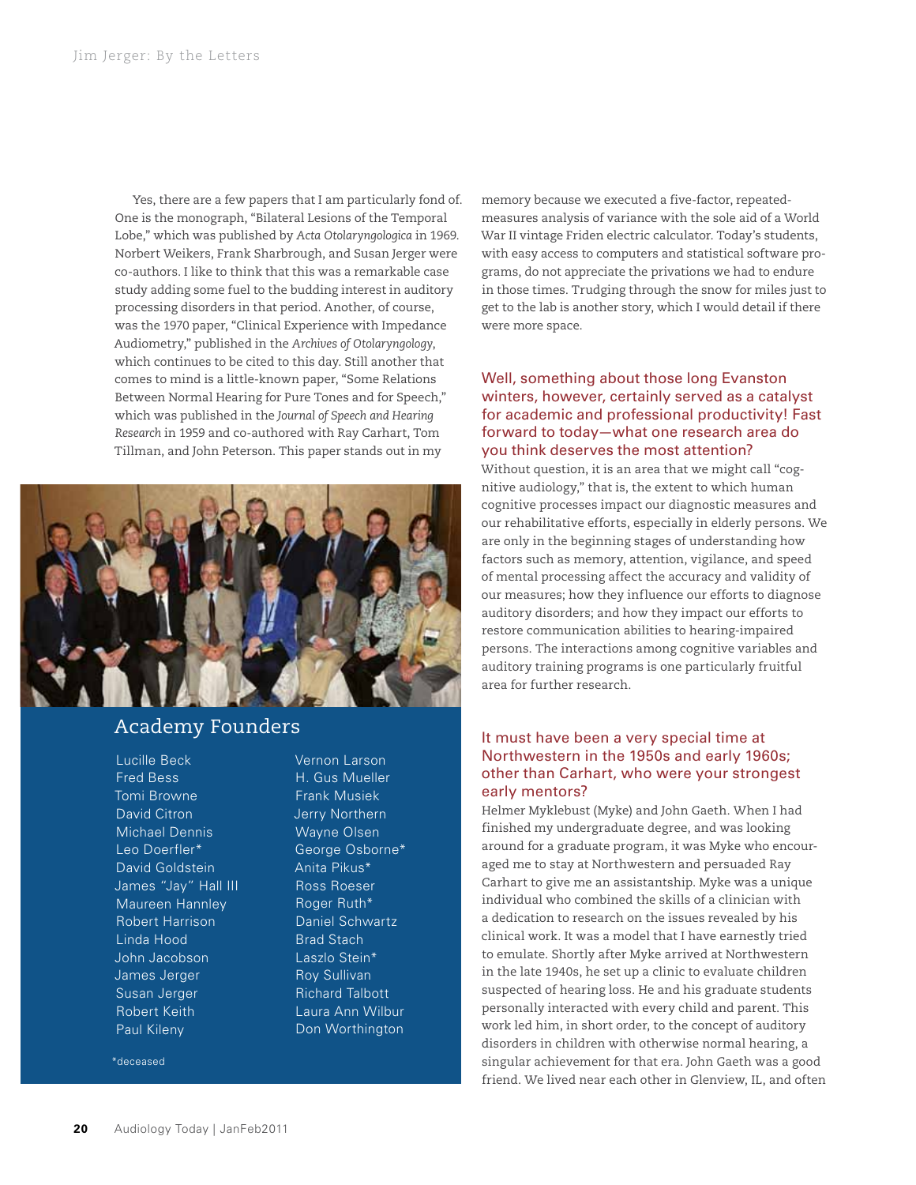Yes, there are a few papers that I am particularly fond of. One is the monograph, "Bilateral Lesions of the Temporal Lobe," which was published by *Acta Otolaryngologica* in 1969. Norbert Weikers, Frank Sharbrough, and Susan Jerger were co-authors. I like to think that this was a remarkable case study adding some fuel to the budding interest in auditory processing disorders in that period. Another, of course, was the 1970 paper, "Clinical Experience with Impedance Audiometry," published in the *Archives of Otolaryngology*, which continues to be cited to this day. Still another that comes to mind is a little-known paper, "Some Relations Between Normal Hearing for Pure Tones and for Speech," which was published in the *Journal of Speech and Hearing Research* in 1959 and co-authored with Ray Carhart, Tom Tillman, and John Peterson. This paper stands out in my



# Academy Founders

Lucille Beck Fred Bess Tomi Browne David Citron Michael Dennis Leo Doerfler\* David Goldstein James "Jay" Hall III Maureen Hannley Robert Harrison Linda Hood John Jacobson James Jerger Susan Jerger Robert Keith Paul Kileny

\*deceased

Vernon Larson H. Gus Mueller Frank Musiek Jerry Northern Wayne Olsen George Osborne\* Anita Pikus\* Ross Roeser Roger Ruth\* Daniel Schwartz Brad Stach Laszlo Stein\* Roy Sullivan Richard Talbott Laura Ann Wilbur Don Worthington memory because we executed a five-factor, repeatedmeasures analysis of variance with the sole aid of a World War II vintage Friden electric calculator. Today's students, with easy access to computers and statistical software programs, do not appreciate the privations we had to endure in those times. Trudging through the snow for miles just to get to the lab is another story, which I would detail if there were more space.

### Well, something about those long Evanston winters, however, certainly served as a catalyst for academic and professional productivity! Fast forward to today—what one research area do you think deserves the most attention?

Without question, it is an area that we might call "cognitive audiology," that is, the extent to which human cognitive processes impact our diagnostic measures and our rehabilitative efforts, especially in elderly persons. We are only in the beginning stages of understanding how factors such as memory, attention, vigilance, and speed of mental processing affect the accuracy and validity of our measures; how they influence our efforts to diagnose auditory disorders; and how they impact our efforts to restore communication abilities to hearing-impaired persons. The interactions among cognitive variables and auditory training programs is one particularly fruitful area for further research.

### It must have been a very special time at Northwestern in the 1950s and early 1960s; other than Carhart, who were your strongest early mentors?

Helmer Myklebust (Myke) and John Gaeth. When I had finished my undergraduate degree, and was looking around for a graduate program, it was Myke who encouraged me to stay at Northwestern and persuaded Ray Carhart to give me an assistantship. Myke was a unique individual who combined the skills of a clinician with a dedication to research on the issues revealed by his clinical work. It was a model that I have earnestly tried to emulate. Shortly after Myke arrived at Northwestern in the late 1940s, he set up a clinic to evaluate children suspected of hearing loss. He and his graduate students personally interacted with every child and parent. This work led him, in short order, to the concept of auditory disorders in children with otherwise normal hearing, a singular achievement for that era. John Gaeth was a good friend. We lived near each other in Glenview, IL, and often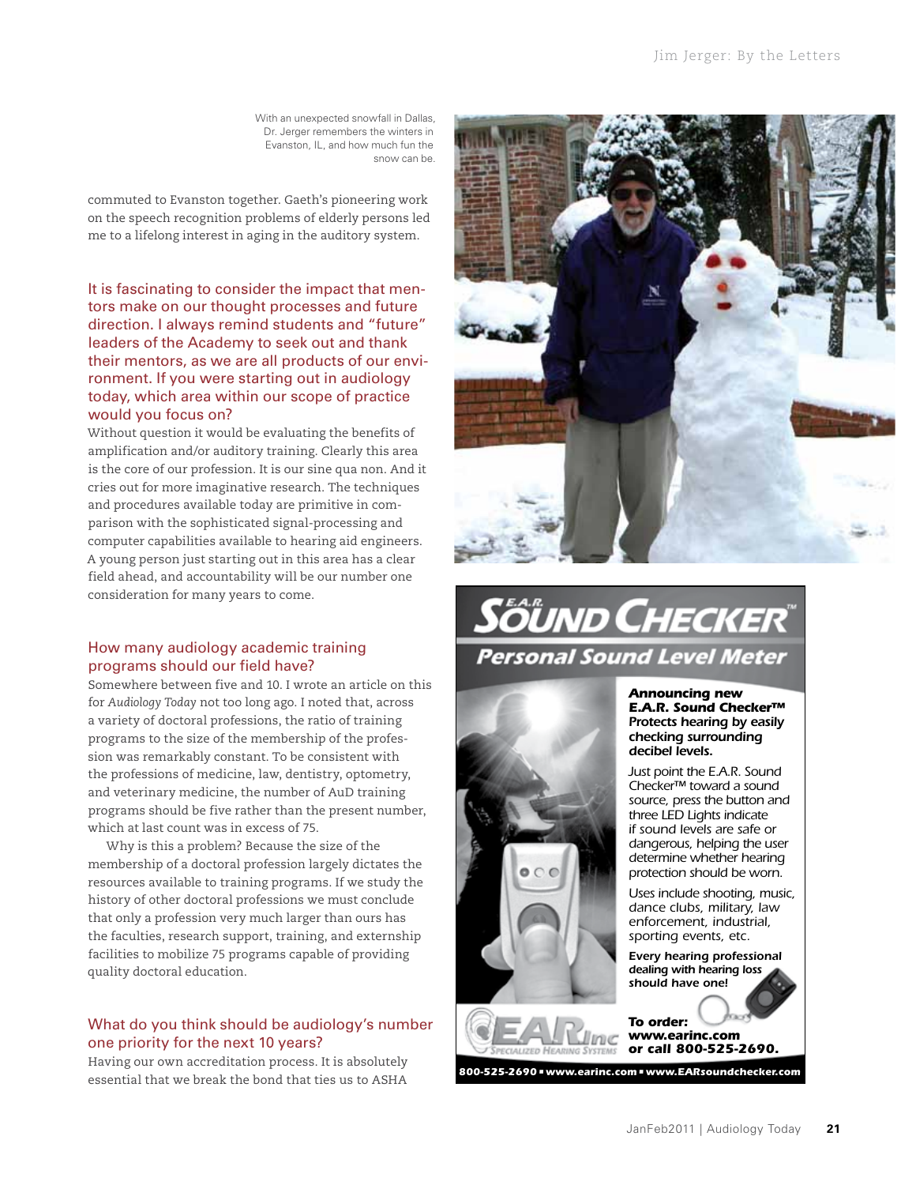With an unexpected snowfall in Dallas, Dr. Jerger remembers the winters in Evanston, IL, and how much fun the snow can be.

commuted to Evanston together. Gaeth's pioneering work on the speech recognition problems of elderly persons led me to a lifelong interest in aging in the auditory system.

### It is fascinating to consider the impact that mentors make on our thought processes and future direction. I always remind students and "future" leaders of the Academy to seek out and thank their mentors, as we are all products of our environment. If you were starting out in audiology today, which area within our scope of practice would you focus on?

Without question it would be evaluating the benefits of amplification and/or auditory training. Clearly this area is the core of our profession. It is our sine qua non. And it cries out for more imaginative research. The techniques and procedures available today are primitive in comparison with the sophisticated signal-processing and computer capabilities available to hearing aid engineers. A young person just starting out in this area has a clear field ahead, and accountability will be our number one consideration for many years to come.

### How many audiology academic training programs should our field have?

Somewhere between five and 10. I wrote an article on this for *Audiology Today* not too long ago. I noted that, across a variety of doctoral professions, the ratio of training programs to the size of the membership of the profession was remarkably constant. To be consistent with the professions of medicine, law, dentistry, optometry, and veterinary medicine, the number of AuD training programs should be five rather than the present number, which at last count was in excess of 75.

Why is this a problem? Because the size of the membership of a doctoral profession largely dictates the resources available to training programs. If we study the history of other doctoral professions we must conclude that only a profession very much larger than ours has the faculties, research support, training, and externship facilities to mobilize 75 programs capable of providing quality doctoral education.

### What do you think should be audiology's number one priority for the next 10 years?

Having our own accreditation process. It is absolutely essential that we break the bond that ties us to ASHA







#### **Announcing new E.A.R. Sound Checker™**  Protects hearing by easily checking surrounding decibel levels.

Just point the E.A.R. Sound Checker™ toward a sound source, press the button and three LED Lights indicate if sound levels are safe or dangerous, helping the user determine whether hearing protection should be worn.

Uses include shooting, music, dance clubs, military, law enforcement, industrial, sporting events, etc.

Every hearing professional dealing with hearing loss should have one!

**To order:**  www.earinc.com or call 800-525-2690.

800-525-2690 · www.earinc.com · www.EARsoundchecker.com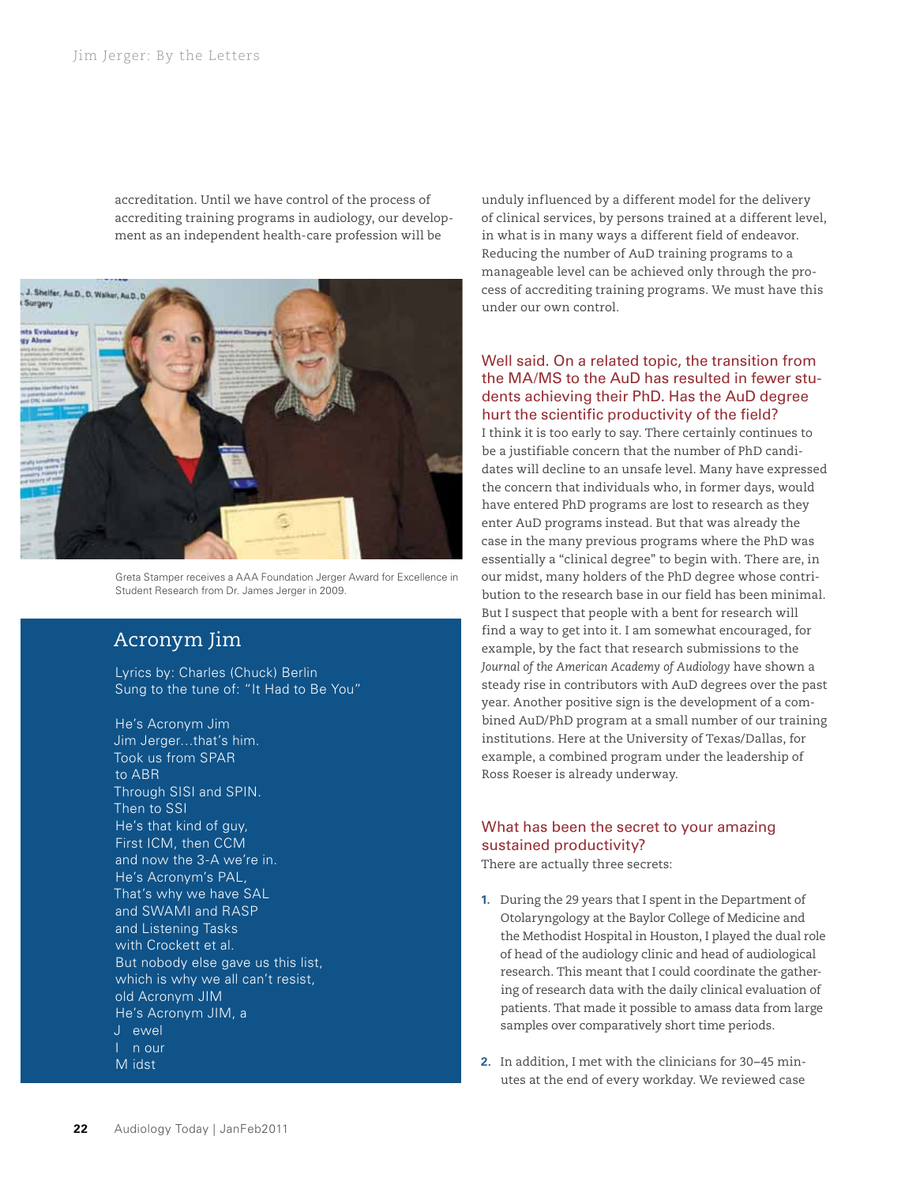accreditation. Until we have control of the process of accrediting training programs in audiology, our development as an independent health-care profession will be



Greta Stamper receives a AAA Foundation Jerger Award for Excellence in Student Research from Dr. James Jerger in 2009.

## Acronym Jim

Lyrics by: Charles (Chuck) Berlin Sung to the tune of: "It Had to Be You"

He's Acronym Jim Jim Jerger…that's him. Took us from SPAR to ABR Through SISI and SPIN. Then to SSI He's that kind of guy, First ICM, then CCM and now the 3-A we're in. He's Acronym's PAL, That's why we have SAL and SWAMI and RASP and Listening Tasks with Crockett et al. But nobody else gave us this list, which is why we all can't resist, old Acronym JIM He's Acronym JIM, a J ewel I n our

M idst

unduly influenced by a different model for the delivery of clinical services, by persons trained at a different level, in what is in many ways a different field of endeavor. Reducing the number of AuD training programs to a manageable level can be achieved only through the process of accrediting training programs. We must have this under our own control.

### Well said. On a related topic, the transition from the MA/MS to the AuD has resulted in fewer students achieving their PhD. Has the AuD degree hurt the scientific productivity of the field?

I think it is too early to say. There certainly continues to be a justifiable concern that the number of PhD candidates will decline to an unsafe level. Many have expressed the concern that individuals who, in former days, would have entered PhD programs are lost to research as they enter AuD programs instead. But that was already the case in the many previous programs where the PhD was essentially a "clinical degree" to begin with. There are, in our midst, many holders of the PhD degree whose contribution to the research base in our field has been minimal. But I suspect that people with a bent for research will find a way to get into it. I am somewhat encouraged, for example, by the fact that research submissions to the *Journal of the American Academy of Audiology* have shown a steady rise in contributors with AuD degrees over the past year. Another positive sign is the development of a combined AuD/PhD program at a small number of our training institutions. Here at the University of Texas/Dallas, for example, a combined program under the leadership of Ross Roeser is already underway.

### What has been the secret to your amazing sustained productivity?

There are actually three secrets:

- **1.** During the 29 years that I spent in the Department of Otolaryngology at the Baylor College of Medicine and the Methodist Hospital in Houston, I played the dual role of head of the audiology clinic and head of audiological research. This meant that I could coordinate the gathering of research data with the daily clinical evaluation of patients. That made it possible to amass data from large samples over comparatively short time periods.
- **2.** In addition, I met with the clinicians for 30-45 minutes at the end of every workday. We reviewed case